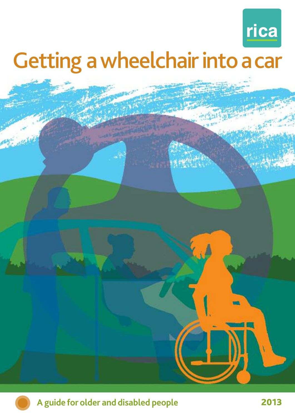

# Getting a wheelchair into a car

**CONTROL** 



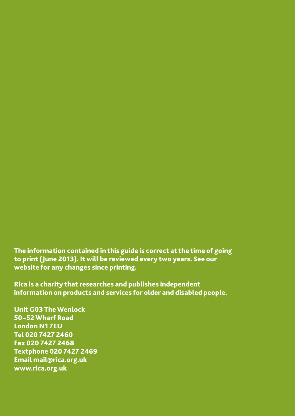**The information contained in this guide is correct at the time of going to print (June 2013). It will be reviewed every two years. See our website for any changes since printing.**

**Rica is a charity that researches and publishes independent information on products and services for older and disabled people.**

**Unit G03 TheWenlock 50–52Wharf Road London N1 7EU Tel 020 7427 2460 Fax 020 7427 2468 Textphone 020 7427 2469 Email mail@rica.org.uk www.rica.org.uk**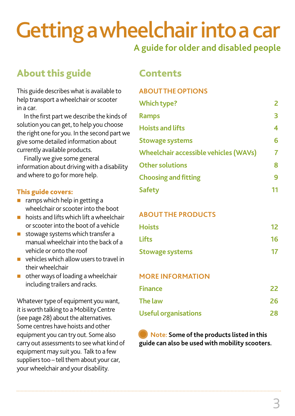# **Gettingawheelchairintoacar**

# **A guide for older and disabled people**

# **About this guide Contents**

This guide describes what is available to help transport a wheelchair or scooter in a car.

In the first part we describe the kinds of solution you can get, to help you choose the right one for you. In the second part we give some detailed information about currently available products.

Finallywe give some general information about driving with a disability andwhere to go for more help.

#### **This guide covers:**

- $\blacksquare$  ramps which help in getting a wheelchair or scooter into the boot
- $\blacksquare$  hoists and lifts which lift a wheelchair or scooter into the boot of a vehicle
- $\blacksquare$  stowage systems which transfer a manualwheelchair into the back of a vehicle or onto the roof
- $\blacksquare$  vehicles which allow users to travel in theirwheelchair
- $\blacksquare$  other ways of loading a wheelchair including trailers and racks.

Whatever type of equipment you want, it is worth talking to a Mobility Centre (see page 28) about the alternatives. Some centres have hoists and other equipment you can try out. Some also carry out assessments to see what kind of equipment may suit you. Talk to a few suppliers too – tell them about your car, your wheelchair and your disability.

#### **ABOUTTHEOPTIONS**

| <b>Which type?</b>                    | $\mathbf{2}$ |
|---------------------------------------|--------------|
| <b>Ramps</b>                          | 3            |
| <b>Hoists and lifts</b>               | 4            |
| <b>Stowage systems</b>                | 6            |
| Wheelchair accessible vehicles (WAVs) |              |
| <b>Other solutions</b>                | 8            |
| <b>Choosing and fitting</b>           | q            |
| <b>Safety</b>                         |              |

#### **ABOUT THE PRODUCTS**

| <b>Hoists</b>          | 12 <sup>7</sup> |
|------------------------|-----------------|
| <b>Lifts</b>           | 16              |
| <b>Stowage systems</b> | 17              |

#### **MORE INFORMATION**

| <b>Finance</b>              | 22 |
|-----------------------------|----|
| <b>The law</b>              | 26 |
| <b>Useful organisations</b> | 28 |

**Note: Some ofthe products listed in this guide can also be used with mobility scooters.**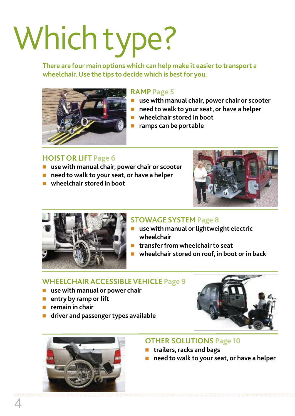# Which type?

**There are four main options which can help make it easierto transport a wheelchair.Use the tips to decide which is bestfor you.**



#### **RAMP Page 5**

- n **use with manual chair, power chair or scooter**
- n **need to walk to your seat, or have a helper**
- n **wheelchair stored in boot**
- n **ramps can be portable**

#### **HOIST OR LIFT Page 6**

- n **use with manual chair, power chair or scooter**
- n **need to walk to your seat, or have a helper**
- n **wheelchair stored in boot**





### **STOWAGE SYSTEM Page 8**

- n **use with manual or lightweight electric wheelchair**
- n **transferfrom wheelchairto seat**
- n **wheelchair stored on roof, in boot or in back**

#### **WHEELCHAIRACCESSIBLEVEHICLE Page 9**

- n **use with manual or power chair**
- **n** entry by ramp or lift
- n **remain in chair**
- n **driver and passengertypes available**





#### **OTHER SOLUTIONS Page 10**

- n **trailers, racks and bags**
- n **need to walk to your seat, or have a helper**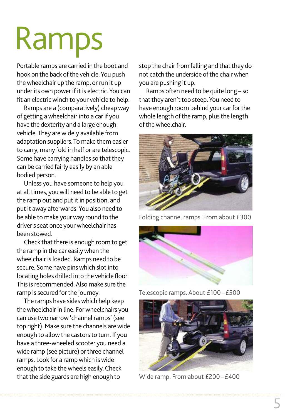# Ramps

Portable ramps are carried in the boot and hook on the back of the vehicle. You push the wheelchair up the ramp, or run it up under its own power if it is electric. You can fit an electric winch to your vehicle to help.

Ramps are a (comparatively) cheapway of getting awheelchair into a car if you have the dexterity and a large enough vehicle. They are widely available from adaptation suppliers.To make them easier to carry, many fold in half or are telescopic. Some have carrying handles so that they can be carried fairly easily by an able bodied person.

Unless you have someone to help you at all times, you will need to be able to get the ramp out and put it in position, and put it away afterwards. You also need to be able to make your way round to the driver's seat once your wheelchair has been stowed.

Check that there is enough room to get the ramp in the car easilywhen the wheelchair is loaded. Ramps need to be secure. Some have pins which slot into locating holes drilled into the vehicle floor. This is recommended. Also make sure the ramp is secured for the journey.

The ramps have sides which help keep thewheelchair in line. Forwheelchairs you can use two narrow'channel ramps' (see top right). Make sure the channels arewide enough to allow the castors to turn. If you have a three-wheeled scooter you need a wide ramp (see picture) or three channel ramps. Look for a ramp which is wide enough to take the wheels easily. Check that the side guards are high enough to

stop the chair from falling and that they do not catch the underside of the chair when you are pushing it up.

Ramps often need to be quite long – so that they aren't too steep. You need to have enough room behind your car for the whole length of the ramp, plus the length ofthewheelchair.



Folding channel ramps. From about £300



Telescopic ramps. About £100–£500



Wide ramp. From about £200–£400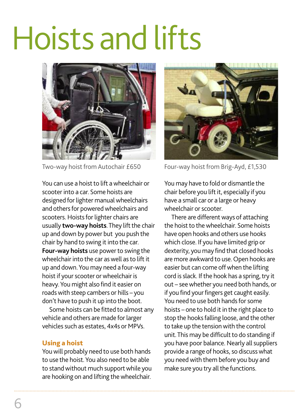# Hoists and lifts



You can use a hoist to lift a wheelchair or scooter into a car. Some hoists are designed for lighter manual wheelchairs and others for powered wheelchairs and scooters. Hoists for lighter chairs are usually **two-way hoists**. They lift the chair up and down by power but you push the chair by hand to swing it into the car. **Four-way hoists** use power to swing the wheelchair into the car as well as to lift it up and down.You may need a four-way hoist if your scooter or wheelchair is heavy.You might also find it easier on roadswith steep cambers or hills – you don't have to push it up into the boot.

Some hoists can be fitted to almost any vehicle and others are made for larger vehicles such as estates, 4x4s or MPVs.

#### **Using a hoist**

Youwill probably need to use both hands to use the hoist.You also need to be able to stand without much support while you are hooking on and lifting thewheelchair.



Two-way hoist from Autochair £650 Four-way hoist from Brig-Ayd, £1,530

You may have to fold or dismantle the chair before you lift it, especially if you have a small car or a large or heavy wheelchair or scooter.

There are different ways of attaching the hoist to the wheelchair. Some hoists have open hooks and others use hooks which close. If you have limited grip or dexterity, you may find that closed hooks are more awkward to use.Open hooks are easier but can come offwhen the lifting cord is slack. If the hook has a spring, try it out – seewhether you need both hands, or if you find your fingers get caught easily. You need to use both hands for some hoists – one to hold it in the right place to stop the hooks falling loose, and the other to take up the tension with the control unit. This may be difficult to do standing if you have poor balance. Nearly all suppliers provide a range of hooks, so discuss what you need with them before you buy and make sure you try all the functions.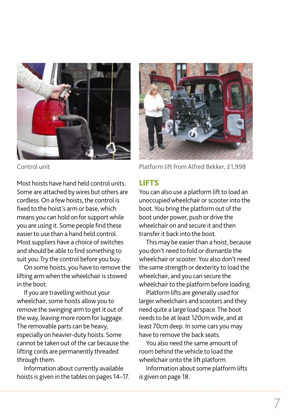

Most hoists have hand held control units. Some are attached by wires but others are cordless. On a few hoists, the control is fixed to the hoist's arm or base, which means you can hold on for support while you are using it. Some people find these easierto use than a hand held control. Most suppliers have a choice of switches and should be able to find something to suit you. Try the control before you buy.

On some hoists, you have to remove the lifting arm when the wheelchair is stowed in the boot.

If you are travelling without your wheelchair, some hoists allow you to remove the swinging arm to get it out of the way, leaving more room for luggage. The removable parts can be heavy, especially on heavier-duty hoists. Some cannot be taken out ofthe car because the lifting cords are permanently threaded through them.

Information about currently available hoists is given in the tables on pages 14–17.



Control unit Control unit Control unit

#### **LIFTS**

You can also use a platform lift to load an unoccupied wheelchair or scooter into the boot. You bring the platform out of the boot under power, push or drive the wheelchair on and secure it and then transfer it back into the boot.

This may be easier than a hoist, because you don't need to fold or dismantle the wheelchair or scooter. You also don't need the same strength or dexterity to load the wheelchair, and you can secure the wheelchair to the platform before loading.

Platform lifts are generally used for largerwheelchairs and scooters and they need quite a large load space.The boot needs to be at least 120cm wide, and at least 70cm deep. In some cars you may have to remove the back seats.

You also need the same amount of room behind the vehicle to load the wheelchair onto the lift platform.

Information about some platform lifts is given on page 18.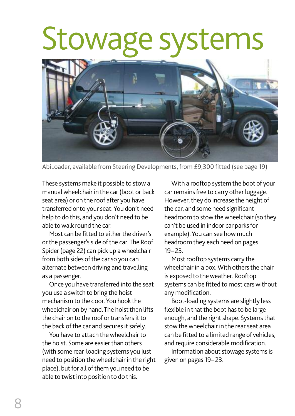# Stowage systems



AbiLoader, available from Steering Developments, from £9,300 fitted (see page 19)

These systems make it possible to stowa manual wheelchair in the car (boot or back seat area) or on the roof after you have transferred onto yourseat.You don't need help to do this, and you don't need to be able towalk round the car.

Most can be fitted to either the driver's or the passenger's side of the car. The Roof Spider (page 22) can pick up awheelchair from both sides of the car so you can alternate between driving and travelling as a passenger.

Once you have transferred into the seat you use a switch to bring the hoist mechanism to the door.You hook the wheelchair on by hand. The hoist then lifts the chair on to the roof or transfers it to the back of the car and secures it safely.

You have to attach the wheelchair to the hoist. Some are easier than others (with some rear-loading systems you just need to position thewheelchair in the right place), but for all of them you need to be able to twist into position to do this.

With a rooftop system the boot of your car remains free to carry other luggage. However, they do increase the height of the car, and some need significant headroom to stow the wheelchair (so they can't be used in indoor car parks for example).You can see how much headroom they each need on pages 19– 23.

Most rooftop systems carry the wheelchair in a box. With others the chair is exposed to the weather. Rooftop systems can be fitted to most cars without any modification.

Boot-loading systems are slightly less flexible in that the boot has to be large enough, and the right shape. Systems that stow the wheelchair in the rear seat area can be fitted to a limited range of vehicles, and require considerable modification.

Information about stowage systems is given on pages 19– 23.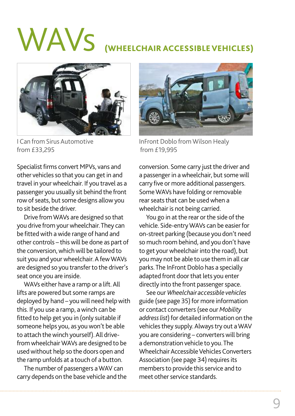# WAVs **(WHEELCHAIR ACCESSIBLEVEHICLES)**



I Can from Sirus Automotive from £33,295

Specialist firms convert MPVs, vans and other vehicles so that you can get in and travel in yourwheelchair. If you travel as a passenger you usually sit behind the front row of seats, but some designs allow you to sit beside the driver.

Drive fromWAVs are designed so that you drive from your wheelchair. They can be fittedwith awide range of hand and other controls – thiswill be done as part of the conversion, which will be tailored to suit you and your wheelchair. A few WAVs are designed so you transferto the driver's seat once you are inside.

WAVs either have a ramp or a lift.All lifts are powered but some ramps are deployed by hand - you will need help with this. If you use a ramp, awinch can be fitted to help get you in (only suitable if someone helps you, as you won't be able to attach thewinch yourself).All drivefrom wheelchair WAVs are designed to be usedwithout help so the doors open and the ramp unfolds at a touch of a button.

The number of passengers aWAV can carry depends on the base vehicle and the



InFront Doblo from Wilson Healy from £19,995

conversion. Some carry just the driver and a passenger in a wheelchair, but some will carry five or more additional passengers. SomeWAVs have folding or removable rear seats that can be used when a wheelchair is not being carried.

You go in at the rear or the side of the vehicle. Side-entry WAVs can be easier for on-street parking (because you don't need so much room behind, and you don't have to get your wheelchair into the road), but you may not be able to use them in all car parks.The InFront Doblo has a specially adapted front door that lets you enter directly into the front passenger space.

See our *Wheelchair accessible vehicles* guide (see page 35) for more information or contact converters(see our *Mobility* address list) for detailed information on the vehicles they supply. Always try out a WAV you are considering - converters will bring a demonstration vehicle to you.The Wheelchair Accessible Vehicles Converters Association (see page 34) requires its members to provide this service and to meet other service standards.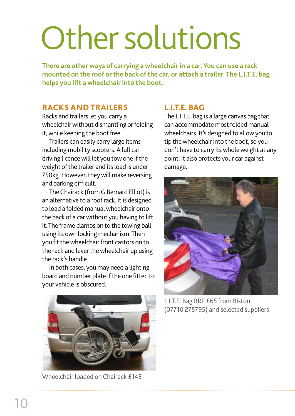# Other solutions

**There are other ways of carrying a wheelchair in a car. You can use a rack mounted on the roof orthe back ofthe car, or attach a trailer.The L.I.T.E. bag helps you lift a wheelchair into the boot.**

#### **RACKS AND TRAILERS**

Racks and trailers let you carry a wheelchair without dismantling or folding it, while keeping the boot free.

Trailers can easily carry large items including mobility scooters. A full car driving licence will let you tow one if the weight of the trailer and its load is under 750kg. However, they will make reversing and parking difficult.

The Chairack (from G Bernard Elliot) is an alternative to a roof rack. It is designed to load a folded manual wheelchair onto the back of a carwithout you having to lift it.The frame clamps on to the towing ball using its own locking mechanism.Then you fit the wheelchair front castors on to the rack and lever the wheelchair up using the rack's handle.

In both cases, you may need a lighting board and number plate if the one fitted to your vehicle is obscured.



Wheelchair loaded on Chairack £145

#### **L.I.T.E. BAG**

The L.I.T.E. bag is a large canvas bag that can accommodate most folded manual wheelchairs. It's designed to allowyou to tip the wheelchair into the boot, so you don't have to carry its whole weight at any point. It also protects your car against damage.



L.I.T.E. Bag RRP £65 from Biston (07710 275795) and selected suppliers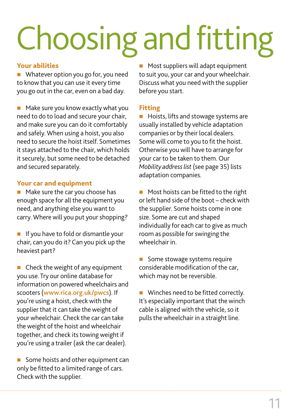# Choosing and fitting

#### **Your abilities**

 $\blacksquare$  Whatever option you go for, you need to knowthat you can use it every time you go out in the car, even on a bad day.

 $\blacksquare$  Make sure you know exactly what you need to do to load and secure your chair, and make sure you can do it comfortably and safely. When using a hoist, you also need to secure the hoist itself. Sometimes it stays attached to the chair, which holds it securely, but some need to be detached and secured separately.

#### **Your car and equipment**

 $\blacksquare$  Make sure the car you choose has enough space for all the equipment you need, and anything else you want to carry. Where will you put your shopping?

 $\blacksquare$  If you have to fold or dismantle your chair, can you do it? Can you pick up the heaviest part?

 $\blacksquare$  Check the weight of any equipment you use. Try our online database for information on powered wheelchairs and scooters (**www.rica.org.uk/pwcs**). If you're using a hoist, check with the supplier that it can take the weight of your wheelchair. Check the car can take the weight of the hoist and wheelchair together, and check its towing weight if you're using a trailer (ask the car dealer).

 $\blacksquare$  Some hoists and other equipment can only be fitted to a limited range of cars. Check with the supplier.

 $\blacksquare$  Most suppliers will adapt equipment to suit you, your car and your wheelchair. Discuss what you need with the supplier before you start.

#### **Fitting**

**n** Hoists, lifts and stowage systems are usually installed by vehicle adaptation companies or by their local dealers. Some will come to you to fit the hoist. Otherwise you will have to arrange for your carto be taken to them. Our *Mobility addresslist* (see page 35) lists adaptation companies.

**n** Most hoists can be fitted to the right or left hand side of the boot  $-$  check with the supplier. Some hoists come in one size. Some are cut and shaped individually for each car to give as much room as possible for swinging the wheelchair in.

Some stowage systems require considerable modification of the car. which may not be reversible.

**No Winches need to be fitted correctly.** It's especially important that the winch cable is aligned with the vehicle, so it pulls the wheelchair in a straight line.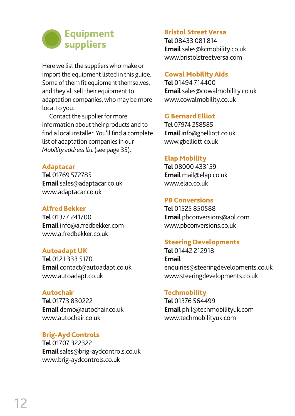

Here we list the suppliers who make or import the equipment listed in this guide. Some of them fit equipment themselves, and they all sell their equipment to adaptation companies, who may be more local to you.

Contact the supplier for more information about their products and to find a local installer. You'll find a complete list of adaptation companies in our *Mobility addresslist* (see page 35).

#### **Adaptacar**

**Tel** 01769 572785 **Email**sales@adaptacar.co.uk www.adaptacar.co.uk

#### **Alfred Bekker**

**Tel** 01377 241700 **Email** info@alfredbekker.com www.alfredbekker.co.uk

#### **Autoadapt UK**

**Tel** 0121 333 5170 **Email** contact@autoadapt.co.uk www.autoadapt.co.uk

#### **Autochair**

**Tel** 01773 830222 **Email** demo@autochair.co.uk www.autochair.co.uk

#### **Brig-Ayd Controls**

**Tel** 01707 322322 **Email**sales@brig-aydcontrols.co.uk www.brig-aydcontrols.co.uk

#### **Bristol StreetVersa**

**Tel** 08433 081 814 **Email**sales@kcmobility.co.uk www.bristolstreetversa.com

#### **Cowal MobilityAids**

**Tel** 01494 714400 **Email**sales@cowalmobility.co.uk www.cowalmobility.co.uk

#### **G Bernard Elliot**

**Tel** 07974 258585 **Email** info@gbelliott.co.uk www.gbelliott.co.uk

#### **Elap Mobility**

**Tel** 08000 433159 **Email** mail@elap.co.uk www.elap.co.uk

#### **PB Conversions**

**Tel** 01525 850588 **Email** pbconversions@aol.com www.pbconversions.co.uk

#### **Steering Developments**

**Tel** 01442 212918 **Email** enquiries@steeringdevelopments.co.uk www.steeringdevelopments.co.uk

#### **Techmobility**

**Tel** 01376 564499 **Email** phil@techmobilityuk.com www.techmobilityuk.com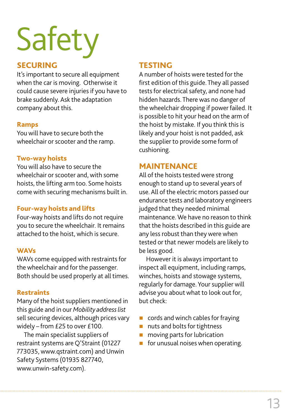# Safety

#### **SECURING**

It's important to secure all equipment when the car is moving. Otherwise it could cause severe injuries if you have to brake suddenly. Ask the adaptation company about this.

#### **Ramps**

You will have to secure both the wheelchair or scooter and the ramp.

#### **Two-way hoists**

You will also have to secure the wheelchair or scooter and, with some hoists, the lifting arm too. Some hoists come with securing mechanisms built in.

#### **Four-way hoists and lifts**

Four-way hoists and lifts do not require you to secure the wheelchair. It remains attached to the hoist, which is secure.

#### **WAVs**

WAVs come equipped with restraints for the wheelchair and for the passenger. Both should be used properly at all times.

#### **Restraints**

Many of the hoist suppliers mentioned in this guide and in our *Mobility addresslist* sell securing devices, although prices vary widely – from £25 to over £100.

The main specialist suppliers of restraint systems are Q'Straint (01227 773035, www.qstraint.com) and Unwin Safety Systems (01935 827740, www.unwin-safety.com).

### **TESTING**

A number of hoists were tested for the first edition of this guide. They all passed testsfor electrical safety, and none had hidden hazards. There was no danger of the wheelchair dropping if power failed. It is possible to hit your head on the arm of the hoist by mistake. If you think this is likely and your hoist is not padded, ask the supplier to provide some form of cushioning.

#### **MAINTENANCE**

All of the hoists tested were strong enough to stand up to several years of use. All of the electric motors passed our endurance tests and laboratory engineers judged that they needed minimal maintenance. We have no reason to think that the hoists described in this guide are any less robust than they were when tested or that newer models are likely to be less good.

However it is always important to inspect all equipment, including ramps, winches, hoists and stowage systems, regularly for damage. Your supplier will advise you about what to look out for, but check:

- $\blacksquare$  cords and winch cables for fraying
- nuts and bolts for tightness
- $\blacksquare$  moving parts for lubrication
- $\blacksquare$  for unusual noises when operating.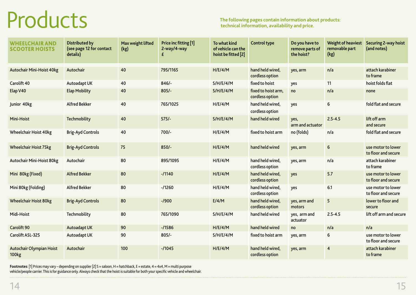# Products

| <b>WHEELCHAIR AND</b><br><b>SCOOTER HOISTS</b> | Distributed by<br>(see page 12 for contact<br>details) | Max weight lifted<br>(kg) | Price inc fitting [1]<br>2-way/4-way | To what kind<br>of vehicle can the<br>hoist be fitted [2] | <b>Control type</b>                    | Do you have to<br>remove parts of<br>the hoist? | <b>Weight of heaviest</b><br>removable part<br>(kg) | <b>Securing 2-way hoist</b><br>(and notes) |
|------------------------------------------------|--------------------------------------------------------|---------------------------|--------------------------------------|-----------------------------------------------------------|----------------------------------------|-------------------------------------------------|-----------------------------------------------------|--------------------------------------------|
| <b>Autochair Mini-Hoist 40kg</b>               | Autochair                                              | 40                        | 795/1165                             | H/E/4/M                                                   | hand held wired,<br>cordless option    | yes, arm                                        | n/a                                                 | attach karabiner<br>to frame               |
| <b>Carolift 40</b>                             | Autoadapt UK                                           | 40                        | $846/-$                              | S/H/E/4/M                                                 | fixed to hoist                         | yes                                             | 11                                                  | hoist folds flat                           |
| Elap V40                                       | <b>Elap Mobility</b>                                   | 40                        | $805/-$                              | S/H/E/4/M                                                 | fixed to hoist arm,<br>cordless option | no                                              | n/a                                                 | none                                       |
| Junior 40kg                                    | <b>Alfred Bekker</b>                                   | 40                        | 765/1025                             | H/E/4/M                                                   | hand held wired,<br>cordless option    | yes                                             | 6                                                   | fold flat and secure                       |
| Mini-Hoist                                     | <b>Techmobility</b>                                    | 40                        | $575/-$                              | S/H/E/4/M                                                 | hand held wired                        | yes,<br>arm and actuator                        | $2.5 - 4.5$                                         | lift off arm<br>and secure                 |
| <b>Wheelchair Hoist 40kg</b>                   | <b>Brig-Ayd Controls</b>                               | 40                        | 700/-                                | H/E/4/M                                                   | fixed to hoist arm                     | no (folds)                                      | n/a                                                 | fold flat and secure                       |
| <b>Wheelchair Hoist 75kg</b>                   | <b>Brig-Ayd Controls</b>                               | 75                        | $850/-$                              | H/E/4/M                                                   | hand held wired                        | yes, arm                                        | $6 \overline{6}$                                    | use motor to lower<br>to floor and secure  |
| <b>Autochair Mini-Hoist 80kg</b>               | Autochair                                              | 80                        | 895/1095                             | H/E/4/M                                                   | hand held wired,<br>cordless option    | yes, arm                                        | n/a                                                 | attach karabiner<br>to frame               |
| Mini 80kg (Fixed)                              | <b>Alfred Bekker</b>                                   | 80                        | $-11140$                             | H/E/4/M                                                   | hand held wired,<br>cordless option    | yes                                             | 5.7                                                 | use motor to lower<br>to floor and secure  |
| Mini 80kg (Folding)                            | <b>Alfred Bekker</b>                                   | 80                        | $-1260$                              | H/E/4/M                                                   | hand held wired,<br>cordless option    | yes                                             | 6.1                                                 | use motor to lower<br>to floor and secure  |
| <b>Wheelchair Hoist 80kg</b>                   | <b>Brig-Ayd Controls</b>                               | 80                        | $-1900$                              | E/4/M                                                     | hand held wired,<br>cordless option    | yes, arm and<br>motors                          | 5 <sup>5</sup>                                      | lower to floor and<br>secure               |
| Midi-Hoist                                     | Techmobility                                           | 80                        | 765/1090                             | S/H/E/4/M                                                 | hand held wired                        | yes, arm and<br>actuator                        | $2.5 - 4.5$                                         | lift off arm and secure                    |
| <b>Carolift 90</b>                             | Autoadapt UK                                           | 90                        | $-11586$                             | H/E/4/M                                                   | hand held wired                        | no                                              | n/a                                                 | n/a                                        |
| Carolift ASL-325                               | Autoadapt UK                                           | 90                        | $805/-$                              | S/H/E/4/M                                                 | fixed to hoist arm                     | yes, arm                                        | 6                                                   | use motor to lower<br>to floor and secure  |
| <b>Autochair Olympian Hoist</b><br>100kg       | Autochair                                              | 100                       | $-11045$                             | H/E/4/M                                                   | hand held wired,<br>cordless option    | yes, arm                                        | $\overline{4}$                                      | attach karabiner<br>to frame               |

**Footnotes** [1] Prices may vary – depending on supplier [2] S = saloon, H = hatchback, E = estate, 4 = 4x4, M = multi purpose vehicle/people carrier. This is for guidance only. Always check that the hoist is suitable for both your specific vehicle and wheelchair.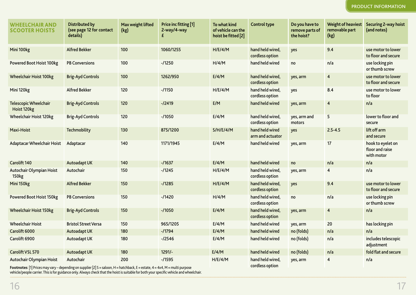| <b>WHEELCHAIR AND</b><br><b>SCOOTER HOISTS</b> | Distributed by<br>(see page 12 for contact<br>details) | Max weight lifted<br>(kg) | Price inc fitting [1]<br>2-way/4-way<br>£ | To what kind<br>of vehicle can the<br>hoist be fitted $[2]$ | Control type                        | Do you have to<br>remove parts of<br>the hoist? | <b>Weight of heaviest</b><br>removable part<br>(kg) | <b>Securing 2-way hoi</b><br>(and notes)           |
|------------------------------------------------|--------------------------------------------------------|---------------------------|-------------------------------------------|-------------------------------------------------------------|-------------------------------------|-------------------------------------------------|-----------------------------------------------------|----------------------------------------------------|
| Mini 100kg                                     | <b>Alfred Bekker</b>                                   | 100                       | 1060/1255                                 | H/E/4/M                                                     | hand held wired,<br>cordless option | yes                                             | 9.4                                                 | use motor to lower<br>to floor and secure          |
| <b>Powered Boot Hoist 100kg</b>                | <b>PB Conversions</b>                                  | 100                       | $-11250$                                  | H/4/M                                                       | hand held wired                     | no                                              | n/a                                                 | use locking pin<br>or thumb screw                  |
| <b>Wheelchair Hoist 100kg</b>                  | <b>Brig-Ayd Controls</b>                               | 100                       | 1262/950                                  | E/4/M                                                       | hand held wired,<br>cordless option | yes, arm                                        | $\overline{4}$                                      | use motor to lower<br>to floor and secure          |
| Mini 120kg                                     | <b>Alfred Bekker</b>                                   | 120                       | $-/1150$                                  | H/E/4/M                                                     | hand held wired,<br>cordless option | yes                                             | 8.4                                                 | use motor to lower<br>to floor                     |
| <b>Telescopic Wheelchair</b><br>Hoist 120kg    | <b>Brig-Ayd Controls</b>                               | 120                       | $-/2419$                                  | E/M                                                         | hand held wired                     | yes, arm                                        | $\overline{4}$                                      | n/a                                                |
| <b>Wheelchair Hoist 120kg</b>                  | <b>Brig-Ayd Controls</b>                               | 120                       | $-11050$                                  | E/4/M                                                       | hand held wired,<br>cordless option | yes, arm and<br>motors                          | 5                                                   | lower to floor and<br>secure                       |
| <b>Maxi-Hoist</b>                              | <b>Techmobility</b>                                    | 130                       | 875/1200                                  | S/H/E/4/M                                                   | hand held wired<br>arm and actuator | yes                                             | $2.5 - 4.5$                                         | lift off arm<br>and secure                         |
| <b>Adaptacar Wheelchair Hoist</b>              | Adaptacar                                              | 140                       | 1171/1945                                 | E/4/M                                                       | hand held wired                     | yes, arm                                        | 17                                                  | hook to eyelet on<br>floor and raise<br>with motor |
| <b>Carolift 140</b>                            | Autoadapt UK                                           | 140                       | $-11637$                                  | E/4/M                                                       | hand held wired                     | no                                              | n/a                                                 | n/a                                                |
| Autochair Olympian Hoist<br><b>150kg</b>       | Autochair                                              | 150                       | $-1245$                                   | H/E/4/M                                                     | hand held wired,<br>cordless option | yes, arm                                        | $\overline{4}$                                      | n/a                                                |
| Mini 150kg                                     | <b>Alfred Bekker</b>                                   | 150                       | $-1285$                                   | H/E/4/M                                                     | hand held wired,<br>cordless option | yes                                             | 9.4                                                 | use motor to lower<br>to floor and secure          |
| <b>Powered Boot Hoist 150kg</b>                | <b>PB Conversions</b>                                  | 150                       | $-11420$                                  | H/4/M                                                       | hand held wired,<br>cordless option | no                                              | n/a                                                 | use locking pin<br>or thumb screw                  |
| <b>Wheelchair Hoist 150kg</b>                  | <b>Brig-Ayd Controls</b>                               | 150                       | $-11050$                                  | E/4/M                                                       | hand held wired,<br>cordless option | yes, arm                                        | $\overline{4}$                                      | n/a                                                |
| <b>Wheelchair Hoist</b>                        | <b>Bristol Street Versa</b>                            | 150                       | 965/1205                                  | E/4/M                                                       | hand held wired                     | yes, arm                                        | 20                                                  | has locking pin                                    |
| Carolift 6000                                  | Autoadapt UK                                           | 180                       | $-1794$                                   | E/4/M                                                       | hand held wired                     | no (folds)                                      | n/a                                                 | n/a                                                |
| Carolift 6900                                  | Autoadapt UK                                           | 180                       | $-/2546$                                  | E/4/M                                                       | hand held wired                     | no (folds)                                      | n/a                                                 | includes telescopic<br>adjustment                  |
| Carolift VSL 570                               | Autoadapt UK                                           | 180                       | $1291/-$                                  | E/4/M                                                       | hand held wired                     | no (folds)                                      | n/a                                                 | fold flat and secure                               |
| Autochair Olympian Hoist                       | Autochair                                              | 200                       | $-11595$                                  | H/E/4/M                                                     | hand held wired,<br>cordless option | yes, arm                                        | 4                                                   | n/a                                                |

| <b>Control type</b>                 | Do you have to<br>remove parts of<br>the hoist? | <b>Weight of heaviest</b><br>removable part<br>(kg) | <b>Securing 2-way hoist</b><br>(and notes)         |
|-------------------------------------|-------------------------------------------------|-----------------------------------------------------|----------------------------------------------------|
| hand held wired,<br>cordless option | yes                                             | 9.4                                                 | use motor to lower<br>to floor and secure          |
| hand held wired                     | no                                              | n/a                                                 | use locking pin<br>or thumb screw                  |
| hand held wired,<br>cordless option | yes, arm                                        | $\overline{4}$                                      | use motor to lower<br>to floor and secure          |
| hand held wired,<br>cordless option | yes                                             | 8.4                                                 | use motor to lower<br>to floor                     |
| hand held wired                     | yes, arm                                        | $\overline{4}$                                      | n/a                                                |
| hand held wired,<br>cordless option | yes, arm and<br>motors                          | 5                                                   | lower to floor and<br>secure                       |
| hand held wired<br>arm and actuator | yes                                             | $2.5 - 4.5$                                         | lift off arm<br>and secure                         |
| hand held wired                     | yes, arm                                        | 17                                                  | hook to eyelet on<br>floor and raise<br>with motor |
| hand held wired                     | no                                              | n/a                                                 | n/a                                                |
| hand held wired,<br>cordless option | yes, arm                                        | $\overline{4}$                                      | n/a                                                |
| hand held wired,<br>cordless option | yes                                             | 9.4                                                 | use motor to lower<br>to floor and secure          |
| hand held wired,<br>cordless option | no                                              | n/a                                                 | use locking pin<br>or thumb screw                  |
| hand held wired,<br>cordless option | yes, arm                                        | $\overline{4}$                                      | n/a                                                |
| hand held wired                     | yes, arm                                        | 20                                                  | has locking pin                                    |
| hand held wired                     | no (folds)                                      | n/a                                                 | n/a                                                |
| hand held wired                     | no (folds)                                      | n/a                                                 | includes telescopic<br>adjustment                  |
| hand held wired                     | no (folds)                                      | n/a                                                 | fold flat and secure                               |
| hand held wired,<br>cordless option | yes, arm                                        | 4                                                   | n/a                                                |

**cordless option Footnotes** [1] Prices may vary – depending on supplier [2] S = saloon, H = hatchback, E = estate, 4 = 4x4, M = multi purpose vehicle/people carrier. This is for guidance only. Always check that the hoist is suitable for both your specific vehicle and wheelchair.

#### **PRODUCT INFORMATION**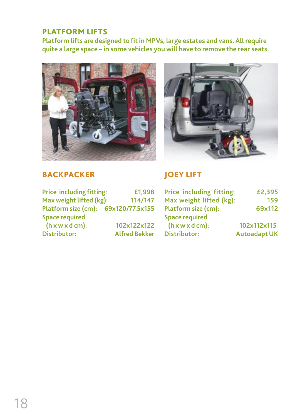### **PLATFORM LIFTS**

**Platform lifts are designed to fitin MPVs, large estates and vans.All require quite a large space – in some vehicles you will have to remove the rear seats.**





### **BACKPACKER**

| <b>Price including fitting:</b>      | £1,998               |
|--------------------------------------|----------------------|
| Max weight lifted (kg):              | 114/147              |
| Platform size (cm): 69x120/77.5x155  |                      |
| <b>Space required</b>                |                      |
| $(h \times w \times d \text{ cm})$ : | 102x122x122          |
| <b>Distributor:</b>                  | <b>Alfred Bekker</b> |

# **JOEY LIFT**

| Price including fitting:             | £2,395              |
|--------------------------------------|---------------------|
| Max weight lifted (kg):              | 159                 |
| <b>Platform size (cm):</b>           | 69x112              |
| <b>Space required</b>                |                     |
| $(h \times w \times d \text{ cm})$ : | 102x112x115         |
| <b>Distributor:</b>                  | <b>Autoadapt UK</b> |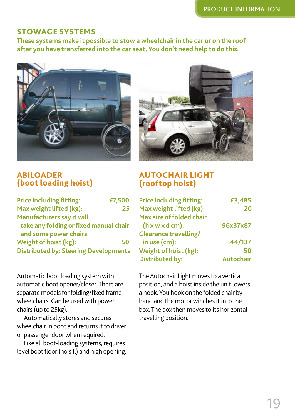#### **STOWAGE SYSTEMS**

**These systems make it possible to stow a wheelchair in the car or on the roof after you have transferred into the car seat. You don't need help to do this.**



#### **ABILOADER (boot loading hoist)**

| <b>Price including fitting:</b>              | £7,500 |
|----------------------------------------------|--------|
| Max weight lifted (kg):                      | 25     |
| Manufacturers say it will                    |        |
| take any folding or fixed manual chair       |        |
| and some power chairs                        |        |
| Weight of hoist (kg):                        | 50     |
| <b>Distributed by: Steering Developments</b> |        |

Automatic boot loading system with automatic boot opener/closer.There are separate models for folding/fixed frame wheelchairs. Can be used with power chairs(up to 25kg).

Automatically stores and secures wheelchair in boot and returns it to driver or passenger doorwhen required.

Like all boot-loading systems, requires level boot floor (no sill) and high opening.



### **AUTOCHAIR LIGHT (rooftop hoist)**

| <b>Price including fitting:</b>      | £3,485           |
|--------------------------------------|------------------|
| Max weight lifted (kg):              | 20               |
| Max size of folded chair             |                  |
| $(h \times w \times d \text{ cm})$ : | 96x37x87         |
| <b>Clearance travelling/</b>         |                  |
| in use (cm):                         | 44/137           |
| Weight of hoist (kg):                | 50               |
| <b>Distributed by:</b>               | <b>Autochair</b> |

The Autochair Light moves to a vertical position, and a hoist inside the unit lowers a hook.You hook on the folded chair by hand and the motor winches it into the box.The box then movesto its horizontal travelling position.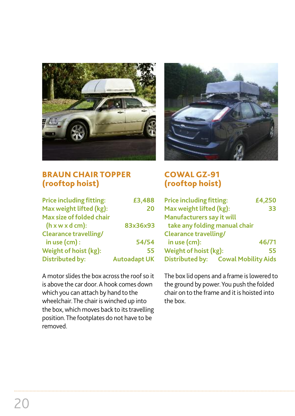

#### **BRAUN CHAIR TOPPER (rooftop hoist)**

| <b>Price including fitting:</b>      | £3,488              |
|--------------------------------------|---------------------|
| Max weight lifted (kg):              | 20                  |
| Max size of folded chair             |                     |
| $(h \times w \times d \text{ cm})$ : | 83x36x93            |
| <b>Clearance travelling/</b>         |                     |
| in use $(cm)$ :                      | 54/54               |
| Weight of hoist (kg):                | 55                  |
| <b>Distributed by:</b>               | <b>Autoadapt UK</b> |

A motor slides the box across the roof so it is above the car door. A hook comes down which you can attach by hand to the wheelchair. The chair is winched up into the box, which moves back to its travelling position.The footplates do not have to be removed.



### **COWAL GZ-91 (rooftop hoist)**

| <b>Price including fitting:</b>     | £4,250 |
|-------------------------------------|--------|
| Max weight lifted (kg):             | 33     |
| Manufacturers say it will           |        |
| take any folding manual chair       |        |
| <b>Clearance travelling/</b>        |        |
| in use (cm):                        | 46/71  |
| Weight of hoist (kg):               | 55     |
| Distributed by: Cowal Mobility Aids |        |

The box lid opens and a frame is lowered to the ground by power. You push the folded chair on to the frame and it is hoisted into the box.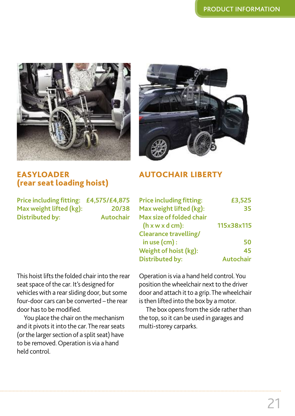



#### **EASYLOADER (rear seat loading hoist)**

**Price including fitting: £4,575/£4,875 Max** weight lifted (kg): 20/38 **Distributed by: Autochair**

This hoist lifts the folded chair into the rear seat space of the car. It's designed for vehicles with a rear sliding door, but some four-door cars can be converted – the rear door hasto be modified.

You place the chair on the mechanism and it pivots it into the car. The rear seats (or the larger section of a split seat) have to be removed.Operation is via a hand held control.

#### **AUTOCHAIR LIBERTY**

| <b>Price including fitting:</b>      | £3,525           |
|--------------------------------------|------------------|
| Max weight lifted (kg):              | 35               |
| Max size of folded chair             |                  |
| $(h \times w \times d \text{ cm})$ : | 115x38x115       |
| <b>Clearance travelling/</b>         |                  |
| in use $(cm)$ :                      | 50               |
| Weight of hoist (kg):                | 45               |
| <b>Distributed by:</b>               | <b>Autochair</b> |

Operation is via a hand held control.You position the wheelchair next to the driver door and attach it to a grip. The wheelchair is then lifted into the box by a motor.

The box opens from the side rather than the top, so it can be used in garages and multi-storey carparks.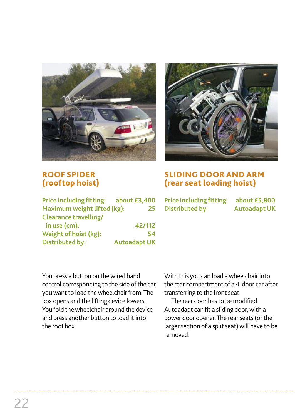



#### **ROOF SPIDER (rooftop hoist)**

| Price including fitting: about £3,400 |                     |
|---------------------------------------|---------------------|
| Maximum weight lifted (kg):           | 25                  |
| <b>Clearance travelling/</b>          |                     |
| in use $(cm)$ :                       | 42/112              |
| Weight of hoist (kg):                 | 54                  |
| <b>Distributed by:</b>                | <b>Autoadapt UK</b> |

**SLIDING DOOR AND ARM (rear seat loading hoist)**

**Price including fitting: about £5,800 Distributed by:** Autoadapt UK

You press a button on the wired hand control corresponding to the side of the car you want to load the wheelchair from. The box opens and the lifting device lowers. You fold the wheelchair around the device and press another button to load it into the roof box.

With this you can load awheelchair into the rear compartment of a 4-door car after transferring to the front seat.

The rear door hasto be modified. Autoadapt can fit a sliding door, with a power door opener. The rear seats (or the larger section of a split seat) will have to be removed.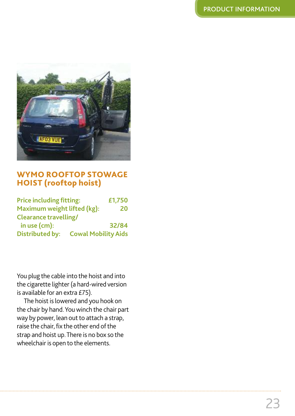

#### **WYMO ROOFTOP STOWAGE HOIST (rooftop hoist)**

| <b>Price including fitting:</b> |                            | £1,750 |
|---------------------------------|----------------------------|--------|
| Maximum weight lifted (kg):     |                            | 20     |
| <b>Clearance travelling/</b>    |                            |        |
| in use $(cm)$ :                 |                            | 32/84  |
| <b>Distributed by:</b>          | <b>Cowal Mobility Aids</b> |        |

You plug the cable into the hoist and into the cigarette lighter (a hard-wired version is available for an extra £75).

The hoist is lowered and you hook on the chair by hand.Youwinch the chair part way by power, lean out to attach a strap, raise the chair, fix the other end of the strap and hoist up.There is no box so the wheelchair is open to the elements.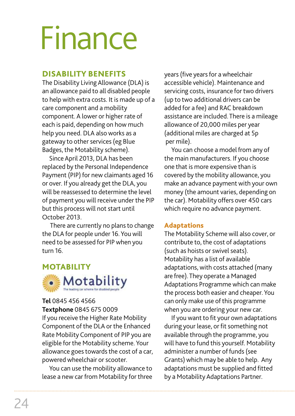# Finance

### **DISABILITY BENEFITS**

The Disability Living Allowance (DLA) is an allowance paid to all disabled people to help with extra costs. It is made up of a care component and a mobility component. A lower or higher rate of each is paid, depending on how much help you need. DLA also works as a gateway to other services (eg Blue Badges, the Motability scheme).

Since April 2013, DLA has been replaced by the Personal Independence Payment (PIP) for new claimants aged 16 or over. If you already get the DLA, you will be reassessed to determine the level of payment you will receive underthe PIP but this process will not start until October 2013.

There are currently no plans to change the DLA for people under 16. You will need to be assessed for PIP when you turn 16.



#### **Tel** 0845 456 4566

#### **Textphone** 0845 675 0009

If you receive the Higher Rate Mobility Component of the DLA or the Enhanced Rate Mobility Component of PIP you are eligible for the Motability scheme. Your allowance goes towards the cost of a car, powered wheelchair or scooter.

You can use the mobility allowance to lease a new car from Motability for three

years (five years for a wheelchair accessible vehicle). Maintenance and servicing costs, insurance for two drivers (up to two additional drivers can be added for a fee) and RAC breakdown assistance are included. There is a mileage allowance of 20,000 miles per year (additional miles are charged at 5p per mile).

You can choose a model from any of the main manufacturers. If you choose one that is more expensive than is covered by the mobility allowance, you make an advance payment with your own money (the amount varies, depending on the car). Motability offers over 450 cars which require no advance payment.

#### **Adaptations**

The Motability Scheme will also cover, or contribute to, the cost of adaptations (such as hoists or swivel seats). Motability has a list of available adaptations, with costs attached (many are free). They operate a Managed Adaptations Programme which can make the process both easier and cheaper. You can only make use of this programme when you are ordering your new car.

If you want to fit your own adaptations during your lease, or fit something not available through the programme, you will have to fund this yourself. Motability administer a number of funds (see Grants) which may be able to help. Any adaptations must be supplied and fitted by a Motability Adaptations Partner.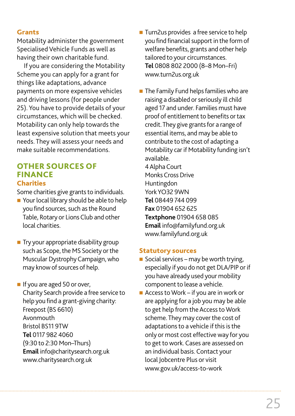#### **Grants**

Motability administer the government Specialised Vehicle Funds as well as having their own charitable fund.

If you are considering the Motability Scheme you can apply for a grant for things like adaptations, advance payments on more expensive vehicles and driving lessons (for people under 25). You have to provide details of your circumstances, which will be checked. Motability can only help towards the least expensive solution that meets your needs. They will assess your needs and make suitable recommendations.

# **OTHER SOURCES OF FINANCE**

#### **Charities**

Some charities give grants to individuals.

- $\blacksquare$  Your local library should be able to help you find sources, such as the Round Table, Rotary or Lions Club and other local charities.
- $\blacksquare$  Try your appropriate disability group such as Scope, the MS Society or the Muscular DystrophyCampaign,who may know of sources of help.
- **n** If you are aged 50 or over, Charity Search provide a free service to help you find a grant-giving charity: Freepost(BS 6610) Avonmouth Bristol BS11 9TW **Tel** 0117 982 4060 (9:30 to 2:30 Mon–Thurs) **Email** info@charitysearch.org.uk www.charitysearch.org.uk
- Turn2us provides a free service to help you find financial support in the form of welfare benefits, grants and other help tailored to your circumstances. **Tel** 0808 802 2000 (8–8 Mon–Fri) www.turn2us.org.uk
- $\blacksquare$  The Family Fund helps families who are raising a disabled or seriously ill child aged 17 and under. Families must have proof of entitlement to benefits or tax credit. They give grants for a range of essential items, and may be able to contribute to the cost of adapting a Motability car if Motability funding isn't available. 4AlphaCourt **Monks Cross Drive** Huntingdon YorkYO32 9WN **Tel** 08449 744 099 **Fax** 01904 652 625 **Textphone** 01904 658 085 **Email** info@familyfund.org.uk www.familyfund.org.uk

#### **Statutory sources**

- Social services may be worth trying, especially if you do not get DLA/PIP or if you have already used your mobility component to lease a vehicle.
- Access to Work if you are in work or are applying for a job you may be able to get help from the Access to Work scheme. They may cover the cost of adaptations to a vehicle if this is the only or most cost effective way for you to get to work. Cases are assessed on an individual basis. Contact your local Jobcentre Plus or visit www.gov.uk/access-to-work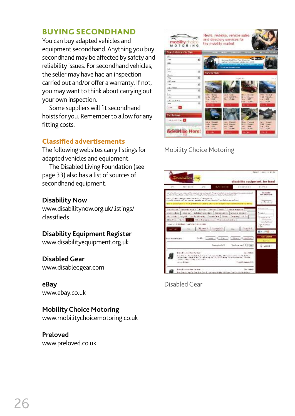### **BUYING SECONDHAND**

You can buy adapted vehicles and equipment secondhand. Anything you buy secondhand may be affected by safety and reliability issues. For secondhand vehicles, the seller may have had an inspection carried out and/or offer awarranty. If not, you may want to think about carrying out your own inspection.

Some suppliers will fit secondhand hoists for you. Remember to allow for any fitting costs.

#### **Classified advertisements**

The following websites carry listings for adapted vehicles and equipment.

The Disabled Living Foundation (see page 33) also has a list of sources of secondhand equipment.

#### **Disability Now**

www.disabilitynow.org.uk/listings/ classifieds

#### **Disability Equipment Register**

www.disabilityequipment.org.uk

#### **Disabled Gear**

www.disabledgear.com

#### **eBay**

www.ebay.co.uk

#### **MobilityChoice Motoring**

www.mobilitychoicemotoring.co.uk

#### **Preloved**

www.preloved.co.uk



#### Mobility Choice Motoring

| Despirations and                                                                                                                                                                                                                                                                                                                                                                                                                                                                                                                                                                                                 |                                                                           | disability equipment, for less!                                   | Person's Lissan & TUNE                                                                            |
|------------------------------------------------------------------------------------------------------------------------------------------------------------------------------------------------------------------------------------------------------------------------------------------------------------------------------------------------------------------------------------------------------------------------------------------------------------------------------------------------------------------------------------------------------------------------------------------------------------------|---------------------------------------------------------------------------|-------------------------------------------------------------------|---------------------------------------------------------------------------------------------------|
| 47.1.1<br>APR 1<br>120111111                                                                                                                                                                                                                                                                                                                                                                                                                                                                                                                                                                                     | <b>Mark Card Lives</b>                                                    | 100931-01                                                         | Pizmid.                                                                                           |
| And principles in a project of a particle in the contract of the set of the set of the contract of the project of the set of the set of the set of the set of the set of the set of the set of the set of the set of the set o<br>and the College Seal and and the country that the complete and there are also into the College<br>SAVE SEARCH HAVE BEEN FRANCES ASSISTANT<br>As a plant a Sharida. And a principle cars, and plant and different states that if there begin a support of the<br>this are painted on the total to get that the activitations with the the probabilities that been the protected |                                                                           |                                                                   | <b>Brundels</b><br><b>Eater &amp; Revolution &amp;</b><br>a Cheese                                |
| continuation discords wands to be more alternated basic advancement to<br>Competitives in the large in a substance of a state in the angle of the same company<br>Hillis Housk, Mishlish, Townson Power, Tenny Jeans, Alli-<br>Mitcheller Chry<br>Service, Charleston-Wood, 4 Notes and<br>43 Forest A.<br><b>Salaragio</b>                                                                                                                                                                                                                                                                                      | <b>NEW Media Associate Mondatories</b><br><b>Branch</b><br>the post forms | Owned Bull.<br>Timbi (1)                                          | Valdeball<br><b>Stanley</b><br>or ment-<br>ALC: YES<br><b>WEEPTING</b><br><b>Luizi</b><br>看すい目像して |
| Could be have it.<br><b>BASIC BALLARY IS WAY</b>                                                                                                                                                                                                                                                                                                                                                                                                                                                                                                                                                                 | $+$<br>Gaussia Lick                                                       | - More I London<br>fords as see [ 4 3] Leg.                       | Tay Lives<br><b>Barton</b><br>光光线区                                                                |
| <b>Date: The case They fire fixed</b><br>What Handid Process that "Find Process in Authors' Method MC was mindered as the U. Brack-<br>Secondary Collect Mr. St. Second and Mr. S. A. Carry S. Called Link of The Uni-<br>THE PARTY CORNER WAS CONTRACTED FOR ALL ASSESSED.<br>mass Brian                                                                                                                                                                                                                                                                                                                        |                                                                           | <b>A-A-1 419-8-402</b><br><b>Constitution of the Constitution</b> |                                                                                                   |
| Arbin Kayolar Her, Latinus 111<br>bas. Tamilar banda dan Burkday 41 ji Arawa 14 Mei 242 Pera Guntian Maria Bakat                                                                                                                                                                                                                                                                                                                                                                                                                                                                                                 |                                                                           | Tide, Claimlin                                                    |                                                                                                   |

DisabledGear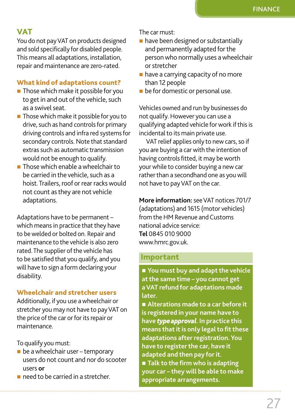# **VAT**

You do not payVAT on products designed and sold specifically for disabled people. This means all adaptations, installation, repair and maintenance are zero-rated.

#### **What kind of adaptations count?**

- $\blacksquare$  Those which make it possible for you to get in and out of the vehicle, such as a swivel seat.
- $\blacksquare$  Those which make it possible for you to drive, such as hand controls for primary driving controls and infra red systems for secondary controls. Note that standard extras such as automatic transmission would not be enough to qualify.
- $\blacksquare$  Those which enable a wheelchair to be carried in the vehicle, such as a hoist. Trailers, roof or rear racks would not count as they are not vehicle adaptations.

Adaptations have to be permanent – which means in practice that they have to bewelded or bolted on. Repair and maintenance to the vehicle is also zero rated. The supplier of the vehicle has to be satisfied that you qualify, and you will have to sign a form declaring your disability.

#### **Wheelchair and stretcher users**

Additionally, if you use awheelchair or stretcher you may not have to payVAT on the price of the car or for its repair or maintenance.

To qualify you must:

- $\blacksquare$  be a wheelchair user temporary users do not count and nor do scooter users **or**
- $\blacksquare$  need to be carried in a stretcher.

The car must:

- $\blacksquare$  have been designed or substantially and permanently adapted for the personwho normally uses awheelchair orstretcher
- $\blacksquare$  have a carrying capacity of no more than 12 people
- $\blacksquare$  be for domestic or personal use.

Vehicles owned and run by businesses do not qualify.However you can use a qualifying adapted vehicle for work if this is incidental to its main private use.

VAT relief applies only to new cars, so if you are buying a carwith the intention of having controls fitted, it may be worth your while to consider buying a new car rather than a secondhand one as you will not have to payVAT on the car.

**More information:**seeVAT notices 701/7 (adaptations) and 1615 (motor vehicles) from the HM Revenue and Customs national advice service: **Tel** 0845 010 9000 www.hmrc.gov.uk.

#### **Important**

■ You must buy and adapt the vehicle **atthe same time – you cannot get aVAT refund for adaptations made later.**

n **Alterations made to a car before it is registered in your name have to have** *type approval***. In practice this means** that it is only legal to fit these **adaptations after registration. You have to registerthe car, have it adapted and then pay for it.** ■ Talk to the firm who is adapting **your car – they will be able to make appropriate arrangements.**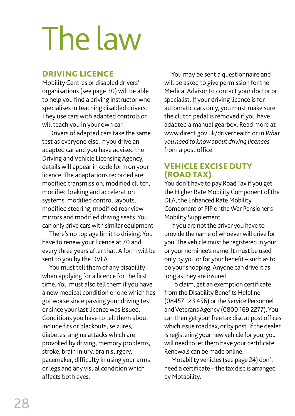# The law

### **DRIVING LICENCE**

Mobility Centres or disabled drivers' organisations (see page 30) will be able to help you find a driving instructor who specialises in teaching disabled drivers. They use cars with adapted controls or will teach you in your own car.

Drivers of adapted cars take the same test as everyone else. If you drive an adapted car and you have advised the Driving and Vehicle Licensing Agency, details will appear in code form on your licence. The adaptations recorded are: modified transmission, modified clutch, modified braking and acceleration systems, modified control layouts, modified steering, modified rear view mirrors and modified driving seats. You can only drive cars with similar equipment.

There's no top age limit to driving. You have to renewyour licence at 70 and every three years after that. A form will be sent to you by the DVLA.

You must tell them of any disability when applying for a licence for the first time. You must also tell them if you have a new medical condition or one which has got worse since passing your driving test or since your last licence was issued. Conditions you have to tell them about include fits or blackouts, seizures, diabetes, angina attacks which are provoked by driving, memory problems, stroke, brain injury, brain surgery, pacemaker, difficulty in using your arms or legs and any visual condition which affects both eyes.

You may be sent a questionnaire and will be asked to give permission for the Medical Advisor to contact your doctor or specialist. If your driving licence is for automatic cars only, you must make sure the clutch pedal is removed if you have adapted a manual gearbox. Read more at www.direct.gov.uk/driverhealth or in *What you need to knowabout driving licences* from a post office.

### **VEHICLE EXCISE DUTY (ROAD TAX)**

You don't have to pay RoadTax if you get the Higher Rate Mobility Component of the DLA, the Enhanced Rate Mobility Component of PIP or the War Pensioner's Mobility Supplement.

If you are not the driver you have to provide the name of whoever will drive for you.The vehicle must be registered in your or your nominee's name. It must be used only by you orfor your benefit – such asto do your shopping. Anyone can drive it as long as they are insured.

To claim, get an exemption certificate from the Disability Benefits Helpline (08457 123 456) or the Service Personnel and Veterans Agency (0800 169 2277). You can then get your free tax disc at post offices which issue road tax, or by post. If the dealer is registering your new vehicle for you, you will need to let them have your certificate. Renewals can be made online.

Motability vehicles(see page 24) don't need a certificate – the tax disc is arranged by Motability.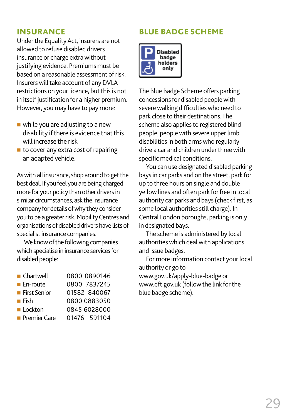### **INSURANCE**

Under the Equality Act, insurers are not allowed to refuse disabled drivers insurance or charge extra without justifying evidence. Premiums must be based on a reasonable assessment of risk. Insurers will take account of any DVLA restrictions on your licence, but this is not in itself justification for a higher premium. However, you may have to pay more:

- $\blacksquare$  while you are adjusting to a new disability if there is evidence that this will increase the risk
- $\blacksquare$  to cover any extra cost of repairing an adapted vehicle.

As with all insurance, shop around to get the best deal. If you feel you are being charged more for your policy than other drivers in similar circumstances, ask the insurance company for details of why they consider you to be a greater risk. Mobility Centres and organisations of disabled drivers have lists of specialist insurance companies.

We know of the following companies which specialise in insurance services for disabled people:

| $\blacksquare$ Chartwell | 0800 0890146 |
|--------------------------|--------------|
| $\blacksquare$ En-route  | 0800 7837245 |
| ■ First Senior           | 01582 840067 |
| ■ Fish                   | 0800 0883050 |
| <b>Lockton</b>           | 0845 6028000 |
| <b>Premier Care</b>      | 01476 591104 |

# **BLUE BADGE SCHEME**



The Blue Badge Scheme offers parking concessions for disabled people with severe walking difficulties who need to park close to their destinations.The scheme also applies to registered blind people, peoplewith severe upper limb disabilities in both arms who regularly drive a car and children under three with specific medical conditions.

You can use designated disabled parking baysin car parks and on the street, park for up to three hours on single and double yellow lines and often park for free in local authority car parks and bays(check first, as some local authorities still charge). In Central London boroughs, parking is only in designated bays.

The scheme is administered by local authorities which deal with applications and issue badges.

For more information contact your local authority or go to www.gov.uk/apply-blue-badge or www.dft.gov.uk (followthe link forthe blue badge scheme).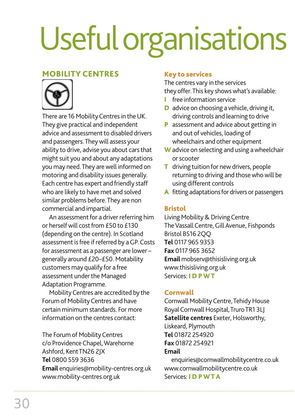# Usefulorganisations

#### **MOBILITY CENTRES**



There are 16 Mobility Centres in the UK. They give practical and independent advice and assessment to disabled drivers and passengers.Theywill assess your ability to drive, advise you about cars that might suit you and about any adaptations you may need.They arewell informed on motoring and disability issues generally. Each centre has expert and friendly staff who are likely to have met and solved similar problems before.They are non commercial and impartial.

An assessment for a driver referring him or herself will cost from £50 to £130 (depending on the centre). In Scotland assessment is free if referred by a GP. Costs for assessment as a passenger are lower – generally around £20–£50. Motability customers may qualify for a free assessment under the Managed Adaptation Programme.

Mobility Centres are accredited by the Forum of Mobility Centres and have certain minimum standards. For more information on the centres contact:

The Forum of Mobility Centres c/o Providence Chapel, Warehorne Ashford, KentTN26 2JX **Tel** 0800 559 3636 **Email** enquiries@mobility-centres.org.uk www.mobility-centres.org.uk

#### **Key to services**

The centres vary in the services they offer.This key showswhat's available:

- **I** free information service
- **D** advice on choosing a vehicle, driving it, driving controls and learning to drive
- **P** assessment and advice about getting in and out of vehicles, loading of wheelchairs and other equipment
- **W** advice on selecting and using awheelchair or scooter
- **T** driving tuition for new drivers, people returning to driving and thosewhowill be using different controls
- A fitting adaptations for drivers or passengers

#### **Bristol**

Living Mobility & Driving Centre The Vassall Centre, Gill Avenue, Fishponds Bristol BS16 2QQ **Tel** 0117 965 9353 **Fax** 0117 965 3652 **Email** mobserv@thisisliving.org.uk www.thisisliving.org.uk Services: **I D PWT**

#### **Cornwall**

Cornwall Mobility Centre, Tehidy House Royal Cornwall Hospital, Truro TR1 3LJ **Satellite centres** Exeter, Holsworthy, Liskeard, Plymouth **Tel** 01872 254920 **Fax** 01872 254921

**Email** enquiries@cornwallmobilitycentre.co.uk www.cornwallmobilitycentre.co.uk Services: **I D PWTA**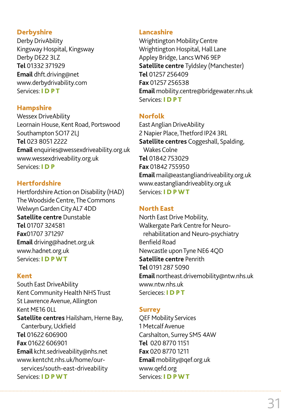#### **Derbyshire**

Derby DrivAbility Kingsway Hospital, Kingsway Derby DE22 3LZ **Tel** 01332 371929 **Email** dhft.driving@net www.derbydrivability.com Services: **I D PT**

#### **Hampshire**

Wessex DriveAbility Leornain House, Kent Road, Portswood Southampton SO17 2LJ **Tel** 023 8051 2222 **Email** enquiries@wessexdriveability.org.uk www.wessexdriveability.org.uk Services: **I D P**

#### **Hertfordshire**

Hertfordshire Action on Disability (HAD) The Woodside Centre, The Commons Welwyn Garden City AL7 4DD **Satellite centre** Dunstable **Tel** 01707 324581 **Fax**01707 371297 **Email** driving@hadnet.org.uk www.hadnet.org.uk Services: **I D PWT**

#### **Kent**

South East DriveAbility Kent Community Health NHS Trust St Lawrence Avenue, Allington Kent ME16 0LL **Satellite centres** Hailsham, Herne Bay, Canterbury,Uckfield **Tel** 01622 606900 **Fax** 01622 606901 **Email** kcht.sedriveability@nhs.net www.kentcht.nhs.uk/home/ourservices/south-east-driveability Services: **I D PWT**

#### **Lancashire**

Wrightington Mobility Centre Wrightington Hospital, Hall Lane Appley Bridge, LancsWN6 9EP **Satellite centre** Tyldsley (Manchester) **Tel** 01257 256409 **Fax** 01257 256538 **Email** mobility.centre@bridgewater.nhs.uk Services: **I D PT**

#### **Norfolk**

EastAnglian DriveAbility 2 Napier Place,Thetford IP24 3RL **Satellite centres** Coggeshall, Spalding, Wakes Colne **Tel** 01842 753029 **Fax** 01842 755950 **Email** mail@eastangliandriveability.org.uk www.eastangliandriveablity.org.uk Services: **I D PWT**

#### **North East**

North East Drive Mobility, Walkergate Park Centre for Neurorehabilitation and Neuro-psychiatry Benfield Road Newcastle uponTyne NE6 4QD **Satellite centre** Penrith **Tel** 0191 287 5090 **Email** northeast.drivemobility@ntw.nhs.uk www.ntw.nhs.uk Sercieces: **I D PT**

#### **Surrey**

QEF Mobility Services 1 Metcalf Avenue Carshalton, Surrey SM5 4AW **Tel** 020 8770 1151 **Fax** 020 8770 1211 **Email** mobility@qef.org.uk www.qefd.org Services: **I D PWT**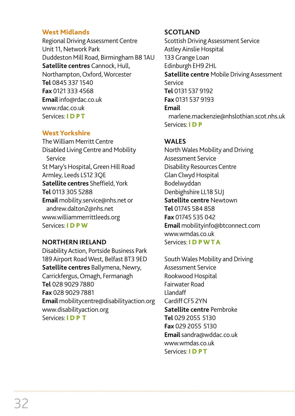#### **West Midlands**

Regional Driving Assessment Centre Unit 11, Network Park Duddeston Mill Road, Birmingham B8 1AU **Satellite centres** Cannock, Hull, Northampton,Oxford,Worcester **Tel** 0845 337 1540 **Fax** 0121 333 4568 **Email** info@rdac.co.uk www.rdac.co.uk Services: **I D PT**

#### **West Yorkshire**

The William Merritt Centre Disabled Living Centre and Mobility Service St Mary's Hospital, Green Hill Road Armley, Leeds LS12 3QE **Satellite centres** Sheffield,York **Tel** 0113 305 5288 **Email** mobility.service@nhs.net or andrew.dalton2@nhs.net www.williammerrittleeds.org Services: **I D PW**

#### **NORTHERN IRELAND**

DisabilityAction, Portside Business Park 189Airport RoadWest, Belfast BT3 9ED **Satellite centres** Ballymena, Newry, Carrickfergus,Omagh, Fermanagh **Tel** 028 9029 7880 **Fax** 028 9029 7881 **Email** mobilitycentre@disabilityaction.org www.disabilityaction.org Services: **I D P T**

#### **SCOTLAND**

Scottish Driving Assessment Service Astley Ainslie Hospital 133Grange Loan Edinburgh EH9 2HL **Satellite centre** Mobile Driving Assessment Service **Tel** 0131 537 9192 **Fax** 0131 537 9193 **Email** marlene.mackenzie@nhslothian.scot.nhs.uk Services: **I D P**

#### **WALES**

NorthWales Mobility and Driving Assessment Service Disability Resources Centre GlanClwydHospital Bodelwyddan Denbighshire LL18 5UJ **Satellite centre** Newtown **Tel** 01745 584 858 **Fax** 01745 535 042 **Email** mobilityinfo@btconnect.com www.wmdas.co.uk Services: **I D PWTA**

SouthWales Mobility and Driving Assessment Service Rookwood Hospital Fairwater Road Llandaff Cardiff CF5 2YN **Satellite centre** Pembroke **Tel** 029 2055 5130 **Fax** 029 2055 5130 **Email**sandra@wddac.co.uk www.wmdas.co.uk Services: **I D PT**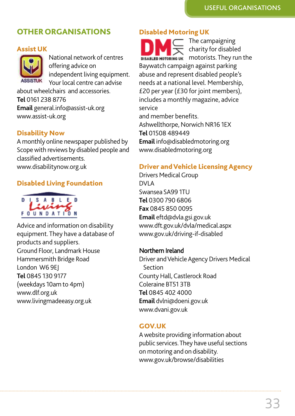### **OTHERORGANISATIONS**

#### **Assist UK**

National network of centres offering advice on independent living equipment. Your local centre can advise

aboutwheelchairs and accessories. **Tel** 0161 238 8776 **Email** general.info@assist-uk.org www.assist-uk.org

#### **Disability Now**

A monthly online newspaper published by Scope with reviews by disabled people and classified advertisements. www.disabilitynow.org.uk

#### **Disabled Living Foundation**



Advice and information on disability equipment. They have a database of products and suppliers. Ground Floor, Landmark House Hammersmith Bridge Road London W6 9EJ **Tel** 0845 130 9177 (weekdays 10am to 4pm) www.dlf.org.uk www.livingmadeeasy.org.uk

#### **Disabled Motoring UK**

The campaigning charity for disabled motorists. They run the Baywatch campaign against parking abuse and represent disabled people's needs at a national level. Membership, £20 per year (£30 for joint members), includes a monthly magazine, advice service and member benefits. Ashwellthorpe, Norwich NR16 1EX **Tel** 01508 489449 **Email** info@disabledmotoring.org www.disabledmotoring.org

#### **Driver andVehicle LicensingAgency**

Drivers Medical Group DVLA Swansea SA99 1TU **Tel** 0300 790 6806 **Fax** 0845 850 0095 **Email** eftd@dvla.gsi.gov.uk www.dft.gov.uk/dvla/medical.aspx www.gov.uk/driving-if-disabled

#### Northern Ireland

Driver and Vehicle Agency Drivers Medical Section County Hall, Castlerock Road Coleraine BT51 3TB **Tel** 0845 402 4000 **Email** dvlni@doeni.gov.uk www.dvani.gov.uk

#### **GOV.UK**

Awebsite providing information about public services. They have useful sections on motoring and on disability. www.gov.uk/browse/disabilities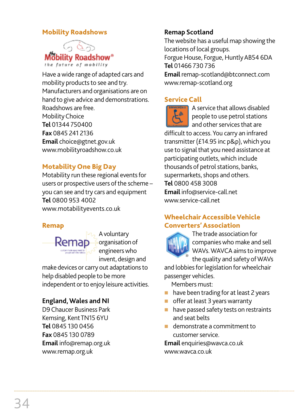#### **Mobility Roadshows**



Have awide range of adapted cars and mobility products to see and try. Manufacturers and organisations are on hand to give advice and demonstrations. Roadshows are free. MobilityChoice **Tel** 01344 750400 **Fax** 0845 241 2136 **Email** choice@gtnet.gov.uk www.mobilityroadshow.co.uk

#### **Motability One Big Day**

Motability run these regional events for users or prospective users of the scheme you can see and try cars and equipment **Tel** 0800 953 4002 www.motabilityevents.co.uk

#### **Remap**



Avoluntary organisation of engineerswho invent, design and

make devices or carry out adaptations to help disabled people to be more independent or to enjoy leisure activities.

#### **England,Wales and NI**

D9Chaucer Business Park Kemsing, KentTN15 6YU **Tel** 0845 130 0456 **Fax** 0845 130 0789 **Email** info@remap.org.uk www.remap.org.uk

#### **Remap Scotland**

The website has a useful map showing the locations of local groups. Forgue House, Forgue, Huntly AB54 6DA

**Tel** 01466 730 736

**Email** remap-scotland@btconnect.com www.remap-scotland.org

#### **Service Call**



A service that allows disabled people to use petrol stations and other services that are

difficult to access. You carry an infrared transmitter (£14.95 inc  $p$ &p), which you use to signal that you need assistance at participating outlets, which include thousands of petrol stations, banks, supermarkets, shops and others. **Tel** 0800 458 3008 **Email** info@service-call.net www.service-call.net

#### **WheelchairAccessibleVehicle Converters'Association**



The trade association for companieswho make and sell WAVs. WAVCA aims to improve the quality and safety ofWAVs

and lobbies for legislation for wheelchair passenger vehicles.

Members must:

- $\blacksquare$  have been trading for at least 2 years
- offer at least 3 years warranty
- n have passed safety tests on restraints and seat belts
- $\blacksquare$  demonstrate a commitment to customer service.

**Email** enquiries@wavca.co.uk www.wavca.co.uk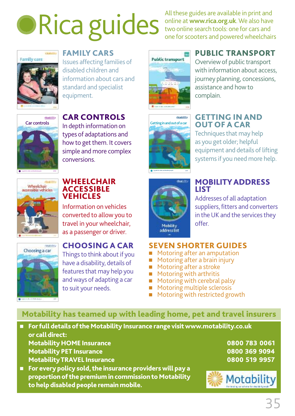# **DRica guides**

All these guides are available in print and online at **www.rica.org.uk**.We also have two online search tools: one for cars and one for scooters and powered wheelchairs



**Car controls** 

**ricability**

**COMMERCI** 

**FAMILY CARS**

Issues affecting families of disabled children and information about cars and standard and specialist equipment.

In depth information on types of adaptations and how to get them. It covers simple and more complex



# **PUBLIC TRANSPORT**

Overviewof public transport with information about access, journey planning, concessions, assistance and howto complain.



**2011**

Techniques that may help as you get older; helpful equipment and details of lifting systems if you need more help.



**A guide for older and disabled people**

**2012**

#### **WHEELCHAIR ACCESSIBLE VEHICLES**

conversions.

Information on vehicles converted to allowyou to travel in your wheelchair, as a passenger or driver.



### **CHOOSING A CAR**

Things to think about if you have a disability, details of features that may help you andways of adapting a car to suit your needs.



**A guide for older and disabled people**

#### **MOBILITYADDRESS LIST**

Addresses of all adaptation suppliers, fitters and converters in the UK and the services they offer.

#### **SEVEN SHORTER GUIDES**

- Motoring after an amputation
- Motoring after a brain injury
- Motoring after a stroke
- Motoring with arthritis
- Motoring with cerebral palsy
- Motoring multiple sclerosis
- Motoring with restricted growth

## **Motability has teamed up with leading home, pet and travel insurers**

- n **Forfulldetailsof the Motability Insurance range visitwww.motability.co.uk or calldirect: Motability HOME Insurance Motability PET Insurance MotabilityTRAVEL Insurance**
- n **For every policy sold, the insurance providerswill pay a proportionof the premium in commissionto Motability to helpdisabled people remain mobile.**

**0800 783 0061 0800 369 9094 0800 519 9957**